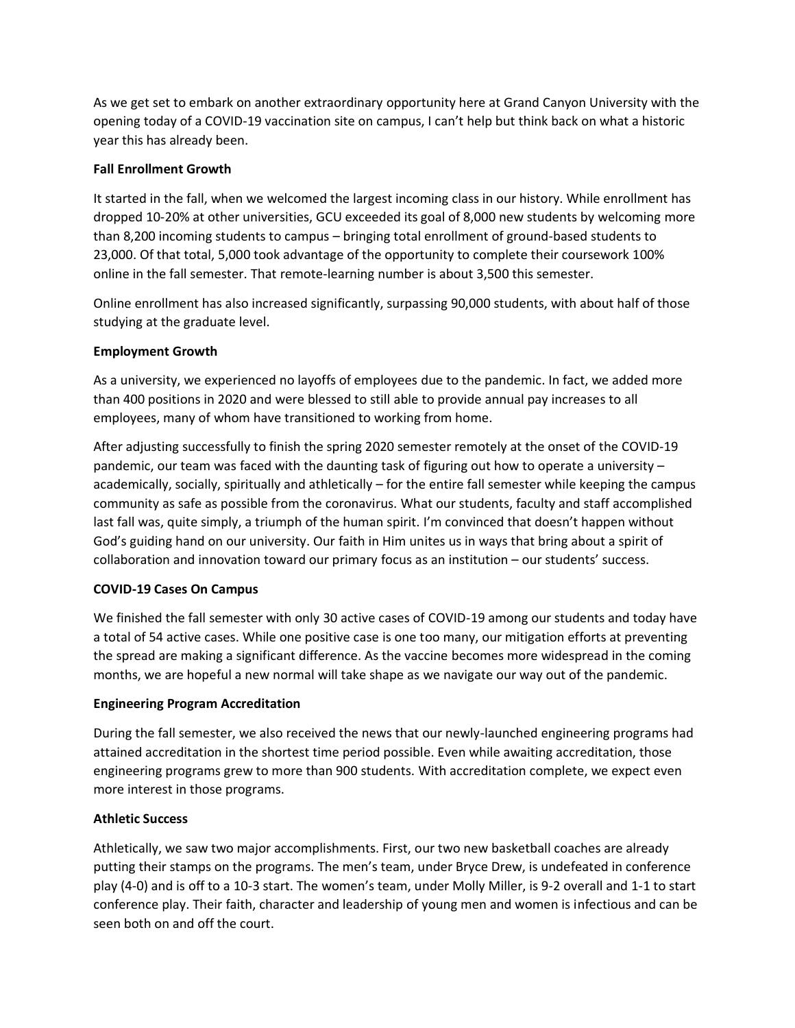As we get set to embark on another extraordinary opportunity here at Grand Canyon University with the opening today of a COVID-19 vaccination site on campus, I can't help but think back on what a historic year this has already been.

# **Fall Enrollment Growth**

It started in the fall, when we welcomed the largest incoming class in our history. While enrollment has dropped 10-20% at other universities, GCU exceeded its goal of 8,000 new students by welcoming more than 8,200 incoming students to campus – bringing total enrollment of ground-based students to 23,000. Of that total, 5,000 took advantage of the opportunity to complete their coursework 100% online in the fall semester. That remote-learning number is about 3,500 this semester.

Online enrollment has also increased significantly, surpassing 90,000 students, with about half of those studying at the graduate level.

### **Employment Growth**

As a university, we experienced no layoffs of employees due to the pandemic. In fact, we added more than 400 positions in 2020 and were blessed to still able to provide annual pay increases to all employees, many of whom have transitioned to working from home.

After adjusting successfully to finish the spring 2020 semester remotely at the onset of the COVID-19 pandemic, our team was faced with the daunting task of figuring out how to operate a university – academically, socially, spiritually and athletically – for the entire fall semester while keeping the campus community as safe as possible from the coronavirus. What our students, faculty and staff accomplished last fall was, quite simply, a triumph of the human spirit. I'm convinced that doesn't happen without God's guiding hand on our university. Our faith in Him unites us in ways that bring about a spirit of collaboration and innovation toward our primary focus as an institution – our students' success.

# **COVID-19 Cases On Campus**

We finished the fall semester with only 30 active cases of COVID-19 among our students and today have a total of 54 active cases. While one positive case is one too many, our mitigation efforts at preventing the spread are making a significant difference. As the vaccine becomes more widespread in the coming months, we are hopeful a new normal will take shape as we navigate our way out of the pandemic.

#### **Engineering Program Accreditation**

During the fall semester, we also received the news that our newly-launched engineering programs had attained accreditation in the shortest time period possible. Even while awaiting accreditation, those engineering programs grew to more than 900 students. With accreditation complete, we expect even more interest in those programs.

#### **Athletic Success**

Athletically, we saw two major accomplishments. First, our two new basketball coaches are already putting their stamps on the programs. The men's team, under Bryce Drew, is undefeated in conference play (4-0) and is off to a 10-3 start. The women's team, under Molly Miller, is 9-2 overall and 1-1 to start conference play. Their faith, character and leadership of young men and women is infectious and can be seen both on and off the court.